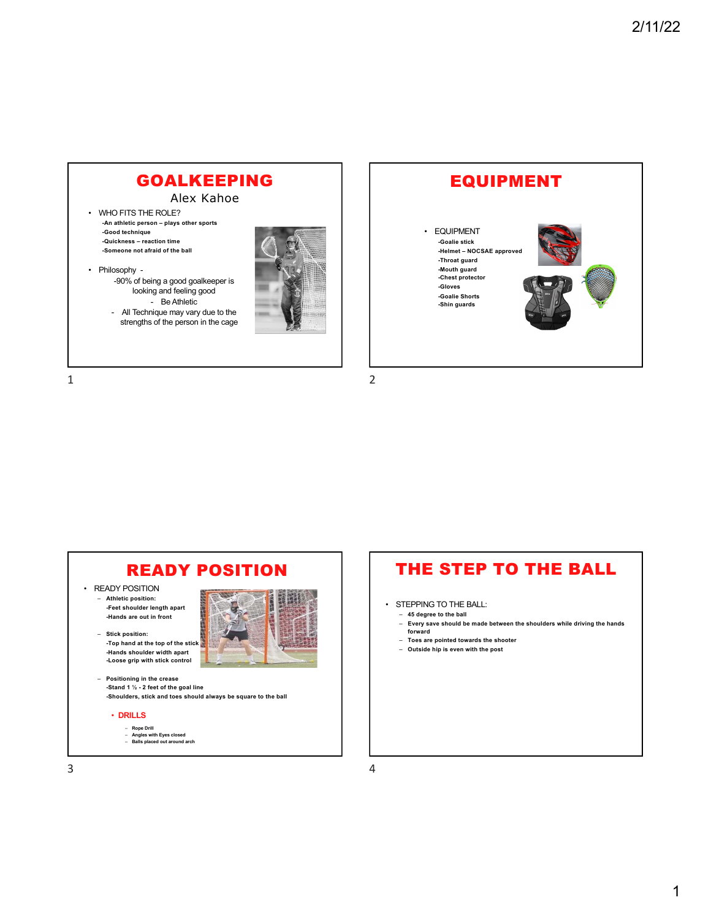### GOALKEEPING

Alex Kahoe

- WHO FITS THE ROLE? **-An athletic person – plays other sports -Good technique -Quickness – reaction time -Someone not afraid of the ball**
- Philosophy -90% of being a good goalkeeper is looking and feeling good

- Be Athletic - All Technique may vary due to the strengths of the person in the cage



1



4



### THE STEP TO THE BALL

- STEPPING TO THE BALL:
	- **45 degree to the ball**
	- **Every save should be made between the shoulders while driving the hands forward**
	- **Toes are pointed towards the shooter**
	- **Outside hip is even with the post**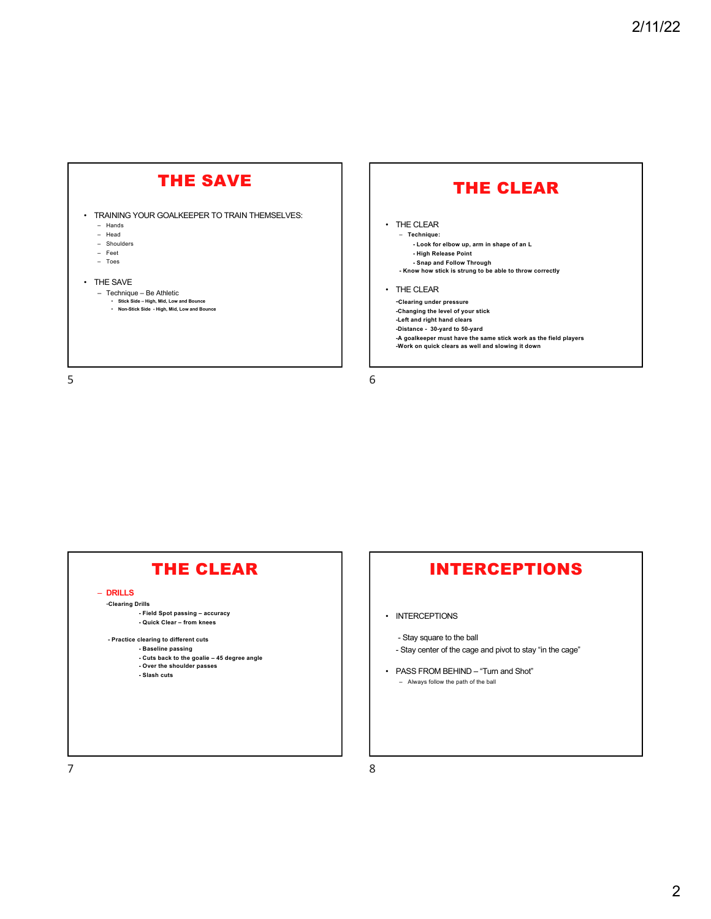## THE SAVE

- TRAINING YOUR GOALKEEPER TO TRAIN THEMSELVES: – Hands
	- Head
	- Shoulders
	- Feet
	- Toes
- THE SAVE
	- Technique Be Athletic **Stick Side – High, Mid, Low and Bounce** 
		- **Non-Stick Side - High, Mid, Low and Bounce**

5

# THE CLEAR

• THE CLEAR

– **Technique: - Look for elbow up, arm in shape of an L - High Release Point - Snap and Follow Through - Know how stick is strung to be able to throw correctly** 

• THE CLEAR

-**Clearing under pressure -Changing the level of your stick -Left and right hand clears -Distance - 30-yard to 50-yard -A goalkeeper must have the same stick work as the field players -Work on quick clears as well and slowing it down**

6



## INTERCEPTIONS

• INTERCEPTIONS

8

- Stay square to the ball
- Stay center of the cage and pivot to stay "in the cage"
- PASS FROM BEHIND "Turn and Shot" – Always follow the path of the ball

7